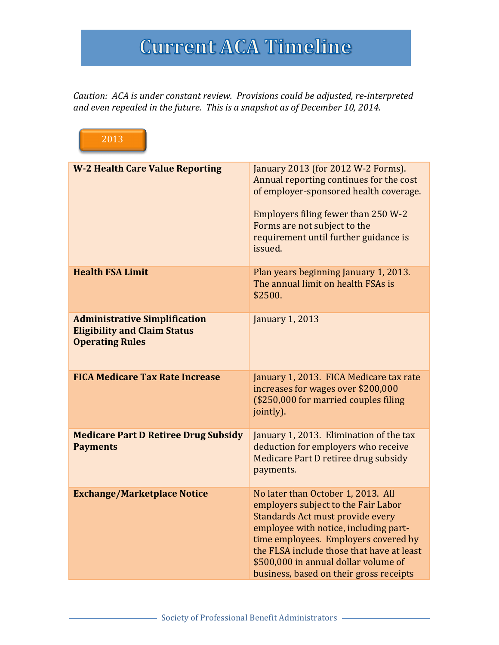## **Current ACA Timeline**

Caution: ACA is under constant review. Provisions could be adjusted, re-interpreted and even repealed in the future. This is a snapshot as of December 10, 2014.

| 2013                                                                                                  |                                                                                                                                                                                                                                                                                                                                |  |
|-------------------------------------------------------------------------------------------------------|--------------------------------------------------------------------------------------------------------------------------------------------------------------------------------------------------------------------------------------------------------------------------------------------------------------------------------|--|
| <b>W-2 Health Care Value Reporting</b>                                                                | January 2013 (for 2012 W-2 Forms).<br>Annual reporting continues for the cost<br>of employer-sponsored health coverage.<br>Employers filing fewer than 250 W-2<br>Forms are not subject to the<br>requirement until further guidance is<br>issued.                                                                             |  |
| <b>Health FSA Limit</b>                                                                               | Plan years beginning January 1, 2013.<br>The annual limit on health FSAs is<br>\$2500.                                                                                                                                                                                                                                         |  |
| <b>Administrative Simplification</b><br><b>Eligibility and Claim Status</b><br><b>Operating Rules</b> | <b>January 1, 2013</b>                                                                                                                                                                                                                                                                                                         |  |
| <b>FICA Medicare Tax Rate Increase</b>                                                                | January 1, 2013. FICA Medicare tax rate<br>increases for wages over \$200,000<br>(\$250,000 for married couples filing<br>jointly).                                                                                                                                                                                            |  |
| <b>Medicare Part D Retiree Drug Subsidy</b><br><b>Payments</b>                                        | January 1, 2013. Elimination of the tax<br>deduction for employers who receive<br>Medicare Part D retiree drug subsidy<br>payments.                                                                                                                                                                                            |  |
| <b>Exchange/Marketplace Notice</b>                                                                    | No later than October 1, 2013. All<br>employers subject to the Fair Labor<br>Standards Act must provide every<br>employee with notice, including part-<br>time employees. Employers covered by<br>the FLSA include those that have at least<br>\$500,000 in annual dollar volume of<br>business, based on their gross receipts |  |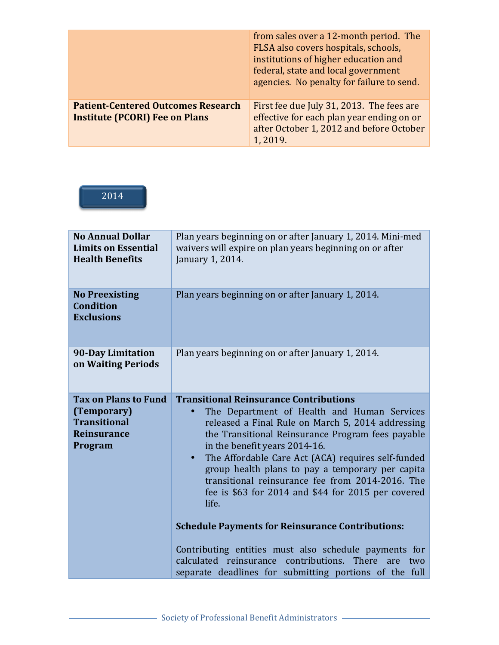|                                                                                    | from sales over a 12-month period. The<br>FLSA also covers hospitals, schools,<br>institutions of higher education and<br>federal, state and local government<br>agencies. No penalty for failure to send. |
|------------------------------------------------------------------------------------|------------------------------------------------------------------------------------------------------------------------------------------------------------------------------------------------------------|
| <b>Patient-Centered Outcomes Research</b><br><b>Institute (PCORI) Fee on Plans</b> | First fee due July 31, 2013. The fees are<br>effective for each plan year ending on or<br>after October 1, 2012 and before October<br>1, 2019.                                                             |

## 2014

| <b>No Annual Dollar</b><br><b>Limits on Essential</b><br><b>Health Benefits</b>                    | Plan years beginning on or after January 1, 2014. Mini-med<br>waivers will expire on plan years beginning on or after<br>January 1, 2014.                                                                                                                                                                                                                                                                                                                                                                                                                                                                                                                                                                                    |
|----------------------------------------------------------------------------------------------------|------------------------------------------------------------------------------------------------------------------------------------------------------------------------------------------------------------------------------------------------------------------------------------------------------------------------------------------------------------------------------------------------------------------------------------------------------------------------------------------------------------------------------------------------------------------------------------------------------------------------------------------------------------------------------------------------------------------------------|
| <b>No Preexisting</b><br><b>Condition</b><br><b>Exclusions</b>                                     | Plan years beginning on or after January 1, 2014.                                                                                                                                                                                                                                                                                                                                                                                                                                                                                                                                                                                                                                                                            |
| <b>90-Day Limitation</b><br>on Waiting Periods                                                     | Plan years beginning on or after January 1, 2014.                                                                                                                                                                                                                                                                                                                                                                                                                                                                                                                                                                                                                                                                            |
| <b>Tax on Plans to Fund</b><br>(Temporary)<br><b>Transitional</b><br><b>Reinsurance</b><br>Program | <b>Transitional Reinsurance Contributions</b><br>The Department of Health and Human Services<br>released a Final Rule on March 5, 2014 addressing<br>the Transitional Reinsurance Program fees payable<br>in the benefit years 2014-16.<br>The Affordable Care Act (ACA) requires self-funded<br>$\bullet$<br>group health plans to pay a temporary per capita<br>transitional reinsurance fee from 2014-2016. The<br>fee is \$63 for 2014 and \$44 for 2015 per covered<br>life.<br><b>Schedule Payments for Reinsurance Contributions:</b><br>Contributing entities must also schedule payments for<br>calculated reinsurance contributions. There<br>are<br>two<br>separate deadlines for submitting portions of the full |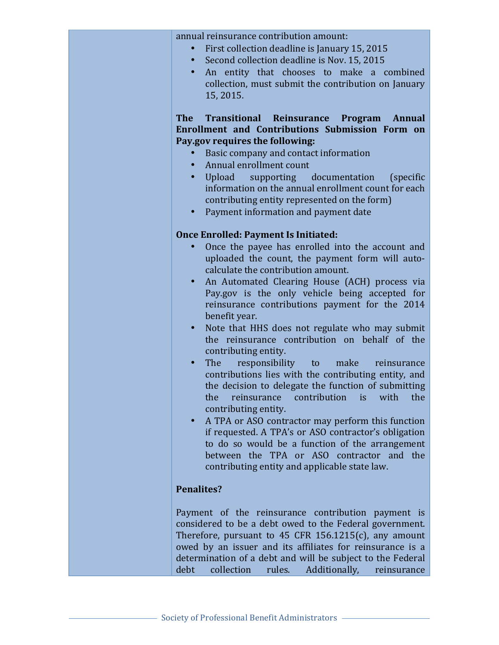annual reinsurance contribution amount:

- First collection deadline is January 15, 2015
- Second collection deadline is Nov. 15, 2015
- An entity that chooses to make a combined collection, must submit the contribution on January 15, 2015.

**The Transitional Reinsurance Program Annual Enrollment and Contributions Submission Form on Pay.gov requires the following:** 

- Basic company and contact information
- Annual enrollment count
- Upload supporting documentation (specific information on the annual enrollment count for each contributing entity represented on the form)
- Payment information and payment date

## **Once Enrolled: Payment Is Initiated:**

- Once the payee has enrolled into the account and uploaded the count, the payment form will autocalculate the contribution amount.
- An Automated Clearing House (ACH) process via Pay.gov is the only vehicle being accepted for reinsurance contributions payment for the 2014 benefit year.
- Note that HHS does not regulate who may submit the reinsurance contribution on behalf of the contributing entity.
- The responsibility to make reinsurance contributions lies with the contributing entity, and the decision to delegate the function of submitting the reinsurance contribution is with the contributing entity.
- A TPA or ASO contractor may perform this function if requested. A TPA's or ASO contractor's obligation to do so would be a function of the arrangement between the TPA or ASO contractor and the contributing entity and applicable state law.

## **Penalites?**

Payment of the reinsurance contribution payment is considered to be a debt owed to the Federal government. Therefore, pursuant to  $45$  CFR 156.1215(c), any amount owed by an issuer and its affiliates for reinsurance is a determination of a debt and will be subject to the Federal debt collection rules. Additionally, reinsurance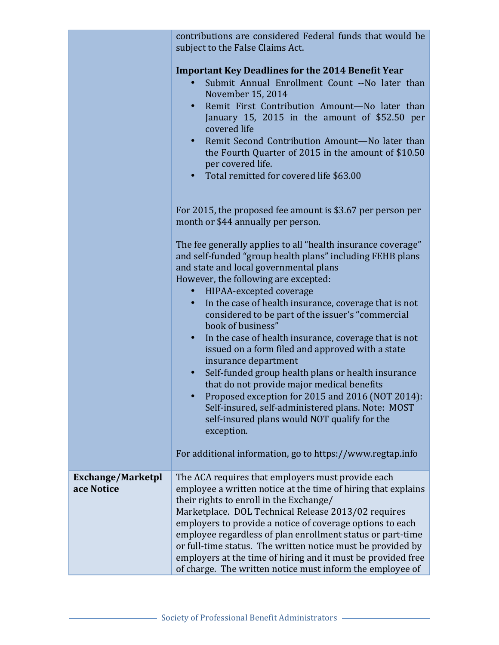|                                        | contributions are considered Federal funds that would be<br>subject to the False Claims Act.                                                                                                                                                                                                                                                                                                                                                                                                                                                |
|----------------------------------------|---------------------------------------------------------------------------------------------------------------------------------------------------------------------------------------------------------------------------------------------------------------------------------------------------------------------------------------------------------------------------------------------------------------------------------------------------------------------------------------------------------------------------------------------|
|                                        | <b>Important Key Deadlines for the 2014 Benefit Year</b><br>Submit Annual Enrollment Count --No later than<br>November 15, 2014<br>Remit First Contribution Amount-No later than<br>January 15, 2015 in the amount of \$52.50 per<br>covered life<br>Remit Second Contribution Amount-No later than<br>$\bullet$<br>the Fourth Quarter of 2015 in the amount of \$10.50<br>per covered life.<br>Total remitted for covered life \$63.00                                                                                                     |
|                                        | For 2015, the proposed fee amount is \$3.67 per person per<br>month or \$44 annually per person.                                                                                                                                                                                                                                                                                                                                                                                                                                            |
|                                        | The fee generally applies to all "health insurance coverage"<br>and self-funded "group health plans" including FEHB plans<br>and state and local governmental plans<br>However, the following are excepted:                                                                                                                                                                                                                                                                                                                                 |
|                                        | HIPAA-excepted coverage<br>$\bullet$ .<br>In the case of health insurance, coverage that is not<br>$\bullet$<br>considered to be part of the issuer's "commercial<br>book of business"                                                                                                                                                                                                                                                                                                                                                      |
|                                        | In the case of health insurance, coverage that is not<br>$\bullet$<br>issued on a form filed and approved with a state<br>insurance department<br>Self-funded group health plans or health insurance<br>$\bullet$<br>that do not provide major medical benefits<br>Proposed exception for 2015 and 2016 (NOT 2014):<br>Self-insured, self-administered plans. Note: MOST                                                                                                                                                                    |
|                                        | self-insured plans would NOT qualify for the<br>exception.                                                                                                                                                                                                                                                                                                                                                                                                                                                                                  |
|                                        | For additional information, go to https://www.regtap.info                                                                                                                                                                                                                                                                                                                                                                                                                                                                                   |
| <b>Exchange/Marketpl</b><br>ace Notice | The ACA requires that employers must provide each<br>employee a written notice at the time of hiring that explains<br>their rights to enroll in the Exchange/<br>Marketplace. DOL Technical Release 2013/02 requires<br>employers to provide a notice of coverage options to each<br>employee regardless of plan enrollment status or part-time<br>or full-time status. The written notice must be provided by<br>employers at the time of hiring and it must be provided free<br>of charge. The written notice must inform the employee of |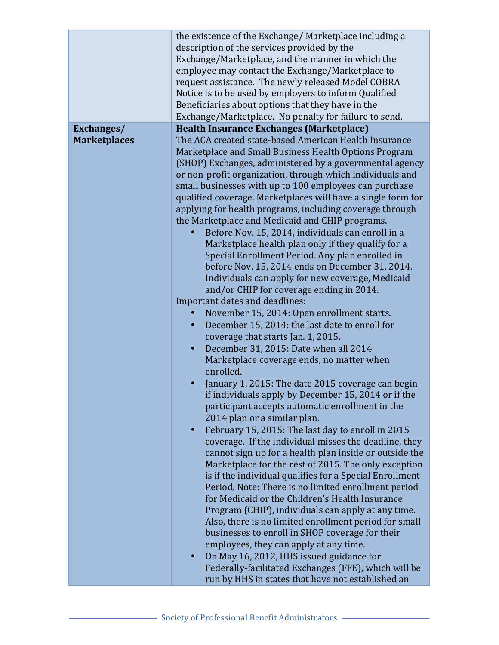|                     | the existence of the Exchange/Marketplace including a          |
|---------------------|----------------------------------------------------------------|
|                     | description of the services provided by the                    |
|                     | Exchange/Marketplace, and the manner in which the              |
|                     | employee may contact the Exchange/Marketplace to               |
|                     | request assistance. The newly released Model COBRA             |
|                     | Notice is to be used by employers to inform Qualified          |
|                     |                                                                |
|                     | Beneficiaries about options that they have in the              |
|                     | Exchange/Marketplace. No penalty for failure to send.          |
| Exchanges/          | <b>Health Insurance Exchanges (Marketplace)</b>                |
| <b>Marketplaces</b> | The ACA created state-based American Health Insurance          |
|                     | Marketplace and Small Business Health Options Program          |
|                     | (SHOP) Exchanges, administered by a governmental agency        |
|                     | or non-profit organization, through which individuals and      |
|                     | small businesses with up to 100 employees can purchase         |
|                     | qualified coverage. Marketplaces will have a single form for   |
|                     | applying for health programs, including coverage through       |
|                     | the Marketplace and Medicaid and CHIP programs.                |
|                     | Before Nov. 15, 2014, individuals can enroll in a              |
|                     | Marketplace health plan only if they qualify for a             |
|                     | Special Enrollment Period. Any plan enrolled in                |
|                     | before Nov. 15, 2014 ends on December 31, 2014.                |
|                     |                                                                |
|                     | Individuals can apply for new coverage, Medicaid               |
|                     | and/or CHIP for coverage ending in 2014.                       |
|                     | Important dates and deadlines:                                 |
|                     | November 15, 2014: Open enrollment starts.                     |
|                     | December 15, 2014: the last date to enroll for<br>$\bullet$    |
|                     | coverage that starts Jan. 1, 2015.                             |
|                     | December 31, 2015: Date when all 2014<br>$\bullet$             |
|                     | Marketplace coverage ends, no matter when                      |
|                     | enrolled.                                                      |
|                     | January 1, 2015: The date 2015 coverage can begin              |
|                     | if individuals apply by December 15, 2014 or if the            |
|                     | participant accepts automatic enrollment in the                |
|                     | 2014 plan or a similar plan.                                   |
|                     | February 15, 2015: The last day to enroll in 2015<br>$\bullet$ |
|                     | coverage. If the individual misses the deadline, they          |
|                     | cannot sign up for a health plan inside or outside the         |
|                     | Marketplace for the rest of 2015. The only exception           |
|                     |                                                                |
|                     | is if the individual qualifies for a Special Enrollment        |
|                     | Period. Note: There is no limited enrollment period            |
|                     | for Medicaid or the Children's Health Insurance                |
|                     | Program (CHIP), individuals can apply at any time.             |
|                     | Also, there is no limited enrollment period for small          |
|                     | businesses to enroll in SHOP coverage for their                |
|                     | employees, they can apply at any time.                         |
|                     | On May 16, 2012, HHS issued guidance for<br>$\bullet$          |
|                     | Federally-facilitated Exchanges (FFE), which will be           |
|                     | run by HHS in states that have not established an              |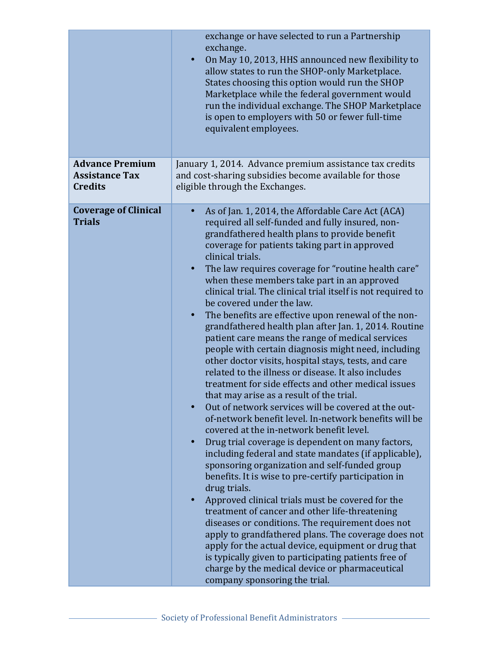|                                                                   | exchange or have selected to run a Partnership<br>exchange.<br>On May 10, 2013, HHS announced new flexibility to<br>$\bullet$<br>allow states to run the SHOP-only Marketplace.<br>States choosing this option would run the SHOP<br>Marketplace while the federal government would<br>run the individual exchange. The SHOP Marketplace<br>is open to employers with 50 or fewer full-time<br>equivalent employees.                                                                                                                                                                                                                                                                                                                                                                                                                                                                                                                                                                                                                                                                                                                                                                                                                                                                                                                                                                                                                                                                                                                                                                                                                                                                                                                     |
|-------------------------------------------------------------------|------------------------------------------------------------------------------------------------------------------------------------------------------------------------------------------------------------------------------------------------------------------------------------------------------------------------------------------------------------------------------------------------------------------------------------------------------------------------------------------------------------------------------------------------------------------------------------------------------------------------------------------------------------------------------------------------------------------------------------------------------------------------------------------------------------------------------------------------------------------------------------------------------------------------------------------------------------------------------------------------------------------------------------------------------------------------------------------------------------------------------------------------------------------------------------------------------------------------------------------------------------------------------------------------------------------------------------------------------------------------------------------------------------------------------------------------------------------------------------------------------------------------------------------------------------------------------------------------------------------------------------------------------------------------------------------------------------------------------------------|
| <b>Advance Premium</b><br><b>Assistance Tax</b><br><b>Credits</b> | January 1, 2014. Advance premium assistance tax credits<br>and cost-sharing subsidies become available for those<br>eligible through the Exchanges.                                                                                                                                                                                                                                                                                                                                                                                                                                                                                                                                                                                                                                                                                                                                                                                                                                                                                                                                                                                                                                                                                                                                                                                                                                                                                                                                                                                                                                                                                                                                                                                      |
| <b>Coverage of Clinical</b><br><b>Trials</b>                      | As of Jan. 1, 2014, the Affordable Care Act (ACA)<br>required all self-funded and fully insured, non-<br>grandfathered health plans to provide benefit<br>coverage for patients taking part in approved<br>clinical trials.<br>The law requires coverage for "routine health care"<br>$\bullet$<br>when these members take part in an approved<br>clinical trial. The clinical trial itself is not required to<br>be covered under the law.<br>The benefits are effective upon renewal of the non-<br>$\bullet$<br>grandfathered health plan after Jan. 1, 2014. Routine<br>patient care means the range of medical services<br>people with certain diagnosis might need, including<br>other doctor visits, hospital stays, tests, and care<br>related to the illness or disease. It also includes<br>treatment for side effects and other medical issues<br>that may arise as a result of the trial.<br>Out of network services will be covered at the out-<br>of-network benefit level. In-network benefits will be<br>covered at the in-network benefit level.<br>Drug trial coverage is dependent on many factors,<br>$\bullet$<br>including federal and state mandates (if applicable),<br>sponsoring organization and self-funded group<br>benefits. It is wise to pre-certify participation in<br>drug trials.<br>Approved clinical trials must be covered for the<br>treatment of cancer and other life-threatening<br>diseases or conditions. The requirement does not<br>apply to grandfathered plans. The coverage does not<br>apply for the actual device, equipment or drug that<br>is typically given to participating patients free of<br>charge by the medical device or pharmaceutical<br>company sponsoring the trial. |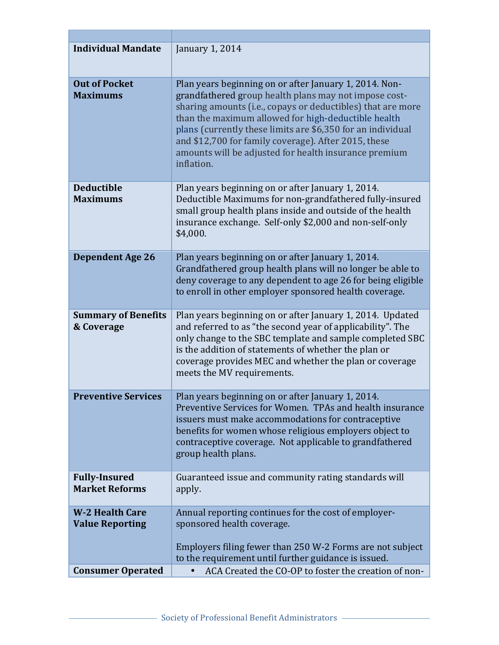| <b>Individual Mandate</b>                        | January 1, 2014                                                                                                                                                                                                                                                                                                                                                                                                                     |
|--------------------------------------------------|-------------------------------------------------------------------------------------------------------------------------------------------------------------------------------------------------------------------------------------------------------------------------------------------------------------------------------------------------------------------------------------------------------------------------------------|
| <b>Out of Pocket</b><br><b>Maximums</b>          | Plan years beginning on or after January 1, 2014. Non-<br>grandfathered group health plans may not impose cost-<br>sharing amounts (i.e., copays or deductibles) that are more<br>than the maximum allowed for high-deductible health<br>plans (currently these limits are \$6,350 for an individual<br>and \$12,700 for family coverage). After 2015, these<br>amounts will be adjusted for health insurance premium<br>inflation. |
| <b>Deductible</b><br><b>Maximums</b>             | Plan years beginning on or after January 1, 2014.<br>Deductible Maximums for non-grandfathered fully-insured<br>small group health plans inside and outside of the health<br>insurance exchange. Self-only \$2,000 and non-self-only<br>\$4,000.                                                                                                                                                                                    |
| <b>Dependent Age 26</b>                          | Plan years beginning on or after January 1, 2014.<br>Grandfathered group health plans will no longer be able to<br>deny coverage to any dependent to age 26 for being eligible<br>to enroll in other employer sponsored health coverage.                                                                                                                                                                                            |
| <b>Summary of Benefits</b><br>& Coverage         | Plan years beginning on or after January 1, 2014. Updated<br>and referred to as "the second year of applicability". The<br>only change to the SBC template and sample completed SBC<br>is the addition of statements of whether the plan or<br>coverage provides MEC and whether the plan or coverage<br>meets the MV requirements.                                                                                                 |
| <b>Preventive Services</b>                       | Plan years beginning on or after January 1, 2014.<br>Preventive Services for Women. TPAs and health insurance<br>issuers must make accommodations for contraceptive<br>benefits for women whose religious employers object to<br>contraceptive coverage. Not applicable to grandfathered<br>group health plans.                                                                                                                     |
| <b>Fully-Insured</b><br><b>Market Reforms</b>    | Guaranteed issue and community rating standards will<br>apply.                                                                                                                                                                                                                                                                                                                                                                      |
| <b>W-2 Health Care</b><br><b>Value Reporting</b> | Annual reporting continues for the cost of employer-<br>sponsored health coverage.<br>Employers filing fewer than 250 W-2 Forms are not subject<br>to the requirement until further guidance is issued.                                                                                                                                                                                                                             |
| <b>Consumer Operated</b>                         | ACA Created the CO-OP to foster the creation of non-                                                                                                                                                                                                                                                                                                                                                                                |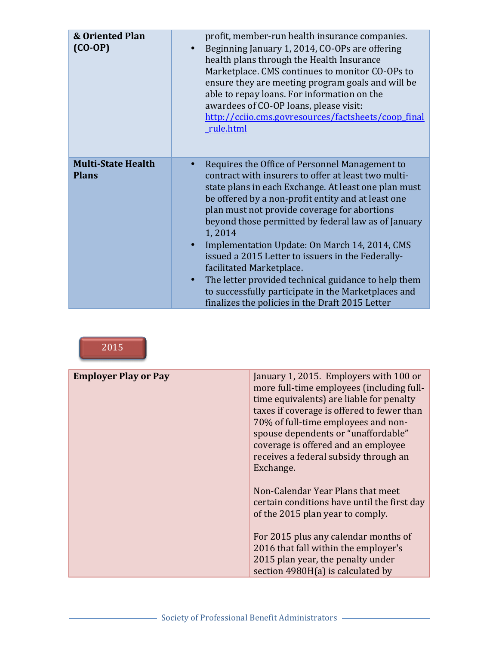| <b>&amp; Oriented Plan</b><br>$(CO-OP)$   | profit, member-run health insurance companies.<br>Beginning January 1, 2014, CO-OPs are offering<br>health plans through the Health Insurance<br>Marketplace. CMS continues to monitor CO-OPs to<br>ensure they are meeting program goals and will be<br>able to repay loans. For information on the<br>awardees of CO-OP loans, please visit:<br>http://cciio.cms.govresources/factsheets/coop_final<br>_rule.html                                                                                                                                                                                                                                  |
|-------------------------------------------|------------------------------------------------------------------------------------------------------------------------------------------------------------------------------------------------------------------------------------------------------------------------------------------------------------------------------------------------------------------------------------------------------------------------------------------------------------------------------------------------------------------------------------------------------------------------------------------------------------------------------------------------------|
| <b>Multi-State Health</b><br><b>Plans</b> | Requires the Office of Personnel Management to<br>contract with insurers to offer at least two multi-<br>state plans in each Exchange. At least one plan must<br>be offered by a non-profit entity and at least one<br>plan must not provide coverage for abortions<br>beyond those permitted by federal law as of January<br>1,2014<br>Implementation Update: On March 14, 2014, CMS<br>issued a 2015 Letter to issuers in the Federally-<br>facilitated Marketplace.<br>The letter provided technical guidance to help them<br>$\bullet$<br>to successfully participate in the Marketplaces and<br>finalizes the policies in the Draft 2015 Letter |

2015

| <b>Employer Play or Pay</b> | January 1, 2015. Employers with 100 or<br>more full-time employees (including full-<br>time equivalents) are liable for penalty<br>taxes if coverage is offered to fewer than<br>70% of full-time employees and non-<br>spouse dependents or "unaffordable"<br>coverage is offered and an employee<br>receives a federal subsidy through an<br>Exchange. |
|-----------------------------|----------------------------------------------------------------------------------------------------------------------------------------------------------------------------------------------------------------------------------------------------------------------------------------------------------------------------------------------------------|
|                             | Non-Calendar Year Plans that meet<br>certain conditions have until the first day<br>of the 2015 plan year to comply.<br>For 2015 plus any calendar months of<br>2016 that fall within the employer's<br>2015 plan year, the penalty under<br>section 4980H(a) is calculated by                                                                           |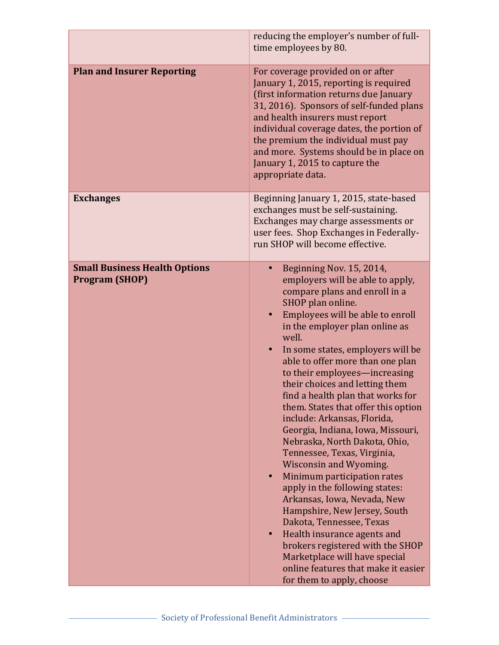|                                                               | reducing the employer's number of full-<br>time employees by 80.                                                                                                                                                                                                                                                                                                                                                                                                                                                                                                                                                                                                                                                                                                                                                                                                                                                            |
|---------------------------------------------------------------|-----------------------------------------------------------------------------------------------------------------------------------------------------------------------------------------------------------------------------------------------------------------------------------------------------------------------------------------------------------------------------------------------------------------------------------------------------------------------------------------------------------------------------------------------------------------------------------------------------------------------------------------------------------------------------------------------------------------------------------------------------------------------------------------------------------------------------------------------------------------------------------------------------------------------------|
| <b>Plan and Insurer Reporting</b>                             | For coverage provided on or after<br>January 1, 2015, reporting is required<br>(first information returns due January<br>31, 2016). Sponsors of self-funded plans<br>and health insurers must report<br>individual coverage dates, the portion of<br>the premium the individual must pay<br>and more. Systems should be in place on<br>January 1, 2015 to capture the<br>appropriate data.                                                                                                                                                                                                                                                                                                                                                                                                                                                                                                                                  |
| <b>Exchanges</b>                                              | Beginning January 1, 2015, state-based<br>exchanges must be self-sustaining.<br>Exchanges may charge assessments or<br>user fees. Shop Exchanges in Federally-<br>run SHOP will become effective.                                                                                                                                                                                                                                                                                                                                                                                                                                                                                                                                                                                                                                                                                                                           |
| <b>Small Business Health Options</b><br><b>Program (SHOP)</b> | Beginning Nov. 15, 2014,<br>employers will be able to apply,<br>compare plans and enroll in a<br>SHOP plan online.<br>Employees will be able to enroll<br>in the employer plan online as<br>well.<br>In some states, employers will be<br>able to offer more than one plan<br>to their employees—increasing<br>their choices and letting them<br>find a health plan that works for<br>them. States that offer this option<br>include: Arkansas, Florida,<br>Georgia, Indiana, Iowa, Missouri,<br>Nebraska, North Dakota, Ohio,<br>Tennessee, Texas, Virginia,<br>Wisconsin and Wyoming.<br>Minimum participation rates<br>apply in the following states:<br>Arkansas, Iowa, Nevada, New<br>Hampshire, New Jersey, South<br>Dakota, Tennessee, Texas<br>Health insurance agents and<br>brokers registered with the SHOP<br>Marketplace will have special<br>online features that make it easier<br>for them to apply, choose |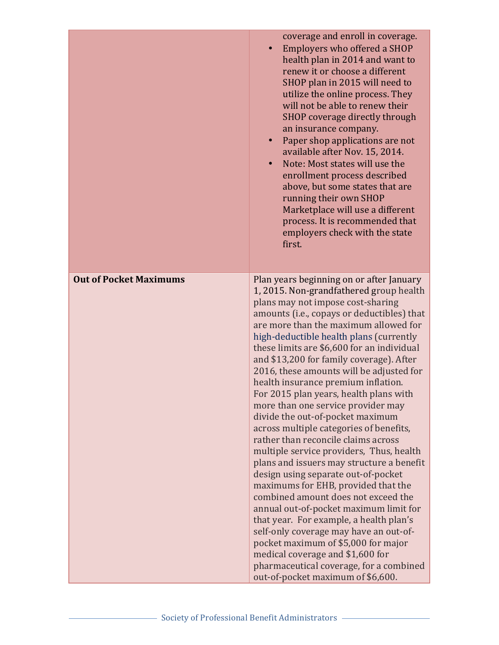|                               | coverage and enroll in coverage.<br>Employers who offered a SHOP<br>$\bullet$<br>health plan in 2014 and want to<br>renew it or choose a different<br>SHOP plan in 2015 will need to<br>utilize the online process. They<br>will not be able to renew their<br>SHOP coverage directly through<br>an insurance company.<br>Paper shop applications are not<br>available after Nov. 15, 2014.<br>Note: Most states will use the<br>$\bullet$<br>enrollment process described<br>above, but some states that are<br>running their own SHOP<br>Marketplace will use a different<br>process. It is recommended that<br>employers check with the state<br>first. |
|-------------------------------|------------------------------------------------------------------------------------------------------------------------------------------------------------------------------------------------------------------------------------------------------------------------------------------------------------------------------------------------------------------------------------------------------------------------------------------------------------------------------------------------------------------------------------------------------------------------------------------------------------------------------------------------------------|
| <b>Out of Pocket Maximums</b> | Plan years beginning on or after January<br>1, 2015. Non-grandfathered group health<br>plans may not impose cost-sharing<br>amounts (i.e., copays or deductibles) that<br>are more than the maximum allowed for<br>high-deductible health plans (currently                                                                                                                                                                                                                                                                                                                                                                                                 |
|                               | these limits are \$6,600 for an individual<br>and \$13,200 for family coverage). After<br>2016, these amounts will be adjusted for<br>health insurance premium inflation.<br>For 2015 plan years, health plans with                                                                                                                                                                                                                                                                                                                                                                                                                                        |
|                               | more than one service provider may<br>divide the out-of-pocket maximum<br>across multiple categories of benefits,<br>rather than reconcile claims across                                                                                                                                                                                                                                                                                                                                                                                                                                                                                                   |
|                               | multiple service providers, Thus, health<br>plans and issuers may structure a benefit<br>design using separate out-of-pocket<br>maximums for EHB, provided that the                                                                                                                                                                                                                                                                                                                                                                                                                                                                                        |
|                               | combined amount does not exceed the<br>annual out-of-pocket maximum limit for<br>that year. For example, a health plan's                                                                                                                                                                                                                                                                                                                                                                                                                                                                                                                                   |
|                               | self-only coverage may have an out-of-<br>pocket maximum of \$5,000 for major<br>medical coverage and \$1,600 for                                                                                                                                                                                                                                                                                                                                                                                                                                                                                                                                          |
|                               | pharmaceutical coverage, for a combined<br>out-of-pocket maximum of \$6,600.                                                                                                                                                                                                                                                                                                                                                                                                                                                                                                                                                                               |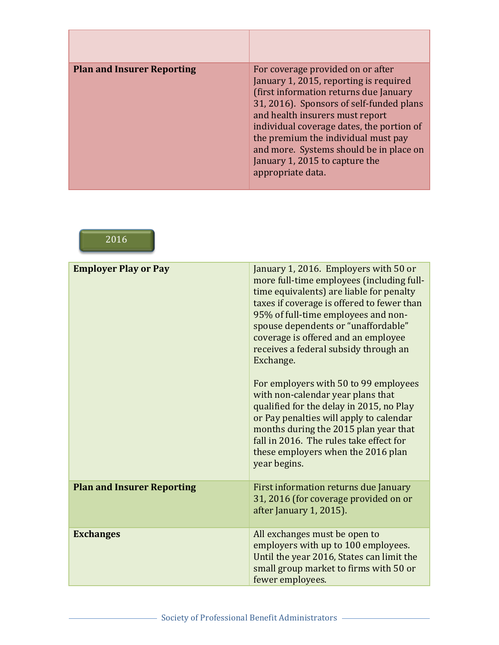| <b>Plan and Insurer Reporting</b> | For coverage provided on or after<br>January 1, 2015, reporting is required<br>(first information returns due January<br>31, 2016). Sponsors of self-funded plans<br>and health insurers must report<br>individual coverage dates, the portion of<br>the premium the individual must pay<br>and more. Systems should be in place on<br>January 1, 2015 to capture the<br>appropriate data. |
|-----------------------------------|--------------------------------------------------------------------------------------------------------------------------------------------------------------------------------------------------------------------------------------------------------------------------------------------------------------------------------------------------------------------------------------------|

2016

| <b>Employer Play or Pay</b>       | January 1, 2016. Employers with 50 or<br>more full-time employees (including full-<br>time equivalents) are liable for penalty<br>taxes if coverage is offered to fewer than<br>95% of full-time employees and non-<br>spouse dependents or "unaffordable"<br>coverage is offered and an employee<br>receives a federal subsidy through an<br>Exchange.<br>For employers with 50 to 99 employees<br>with non-calendar year plans that<br>qualified for the delay in 2015, no Play<br>or Pay penalties will apply to calendar<br>months during the 2015 plan year that<br>fall in 2016. The rules take effect for<br>these employers when the 2016 plan<br>year begins. |
|-----------------------------------|------------------------------------------------------------------------------------------------------------------------------------------------------------------------------------------------------------------------------------------------------------------------------------------------------------------------------------------------------------------------------------------------------------------------------------------------------------------------------------------------------------------------------------------------------------------------------------------------------------------------------------------------------------------------|
| <b>Plan and Insurer Reporting</b> | First information returns due January<br>31, 2016 (for coverage provided on or<br>after January 1, 2015).                                                                                                                                                                                                                                                                                                                                                                                                                                                                                                                                                              |
| <b>Exchanges</b>                  | All exchanges must be open to<br>employers with up to 100 employees.<br>Until the year 2016, States can limit the<br>small group market to firms with 50 or<br>fewer employees.                                                                                                                                                                                                                                                                                                                                                                                                                                                                                        |